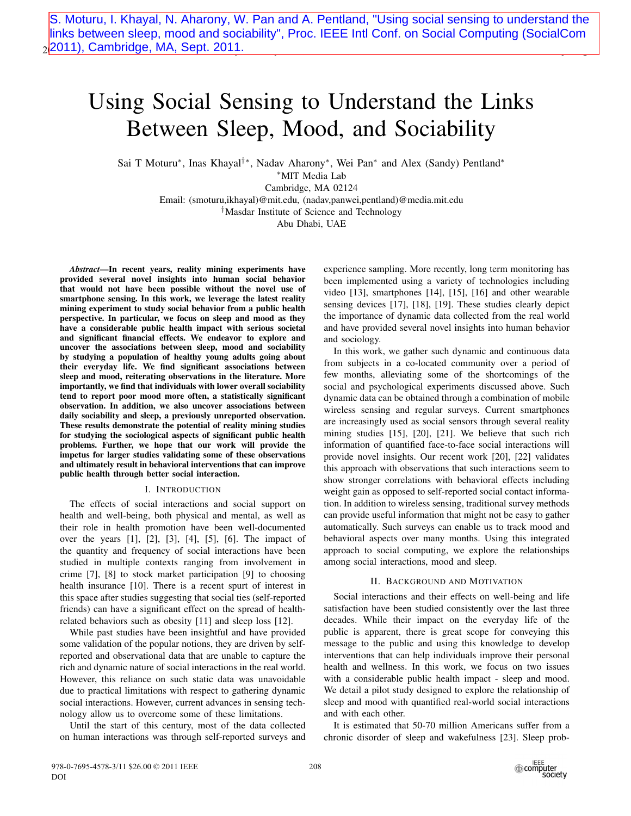# Using Social Sensing to Understand the Links Between Sleep, Mood, and Sociability

Sai T Moturu∗, Inas Khayal†∗, Nadav Aharony∗, Wei Pan∗ and Alex (Sandy) Pentland∗

∗MIT Media Lab

Cambridge, MA 02124 Email: (smoturu,ikhayal)@mit.edu, (nadav,panwei,pentland)@media.mit.edu †Masdar Institute of Science and Technology Abu Dhabi, UAE

*Abstract*—In recent years, reality mining experiments have provided several novel insights into human social behavior that would not have been possible without the novel use of smartphone sensing. In this work, we leverage the latest reality mining experiment to study social behavior from a public health perspective. In particular, we focus on sleep and mood as they have a considerable public health impact with serious societal and significant financial effects. We endeavor to explore and uncover the associations between sleep, mood and sociability by studying a population of healthy young adults going about their everyday life. We find significant associations between sleep and mood, reiterating observations in the literature. More importantly, we find that individuals with lower overall sociability tend to report poor mood more often, a statistically significant observation. In addition, we also uncover associations between daily sociability and sleep, a previously unreported observation. These results demonstrate the potential of reality mining studies for studying the sociological aspects of significant public health problems. Further, we hope that our work will provide the impetus for larger studies validating some of these observations and ultimately result in behavioral interventions that can improve public health through better social interaction.

## I. INTRODUCTION

The effects of social interactions and social support on health and well-being, both physical and mental, as well as their role in health promotion have been well-documented over the years [1], [2], [3], [4], [5], [6]. The impact of the quantity and frequency of social interactions have been studied in multiple contexts ranging from involvement in crime [7], [8] to stock market participation [9] to choosing health insurance [10]. There is a recent spurt of interest in this space after studies suggesting that social ties (self-reported friends) can have a significant effect on the spread of healthrelated behaviors such as obesity [11] and sleep loss [12].

While past studies have been insightful and have provided some validation of the popular notions, they are driven by selfreported and observational data that are unable to capture the rich and dynamic nature of social interactions in the real world. However, this reliance on such static data was unavoidable due to practical limitations with respect to gathering dynamic social interactions. However, current advances in sensing technology allow us to overcome some of these limitations.

Until the start of this century, most of the data collected on human interactions was through self-reported surveys and experience sampling. More recently, long term monitoring has been implemented using a variety of technologies including video [13], smartphones [14], [15], [16] and other wearable sensing devices [17], [18], [19]. These studies clearly depict the importance of dynamic data collected from the real world and have provided several novel insights into human behavior and sociology.

In this work, we gather such dynamic and continuous data from subjects in a co-located community over a period of few months, alleviating some of the shortcomings of the social and psychological experiments discussed above. Such dynamic data can be obtained through a combination of mobile wireless sensing and regular surveys. Current smartphones are increasingly used as social sensors through several reality mining studies [15], [20], [21]. We believe that such rich information of quantified face-to-face social interactions will provide novel insights. Our recent work [20], [22] validates this approach with observations that such interactions seem to show stronger correlations with behavioral effects including weight gain as opposed to self-reported social contact information. In addition to wireless sensing, traditional survey methods can provide useful information that might not be easy to gather automatically. Such surveys can enable us to track mood and behavioral aspects over many months. Using this integrated approach to social computing, we explore the relationships among social interactions, mood and sleep.

# II. BACKGROUND AND MOTIVATION

Social interactions and their effects on well-being and life satisfaction have been studied consistently over the last three decades. While their impact on the everyday life of the public is apparent, there is great scope for conveying this message to the public and using this knowledge to develop interventions that can help individuals improve their personal health and wellness. In this work, we focus on two issues with a considerable public health impact - sleep and mood. We detail a pilot study designed to explore the relationship of sleep and mood with quantified real-world social interactions and with each other.

It is estimated that 50-70 million Americans suffer from a chronic disorder of sleep and wakefulness [23]. Sleep prob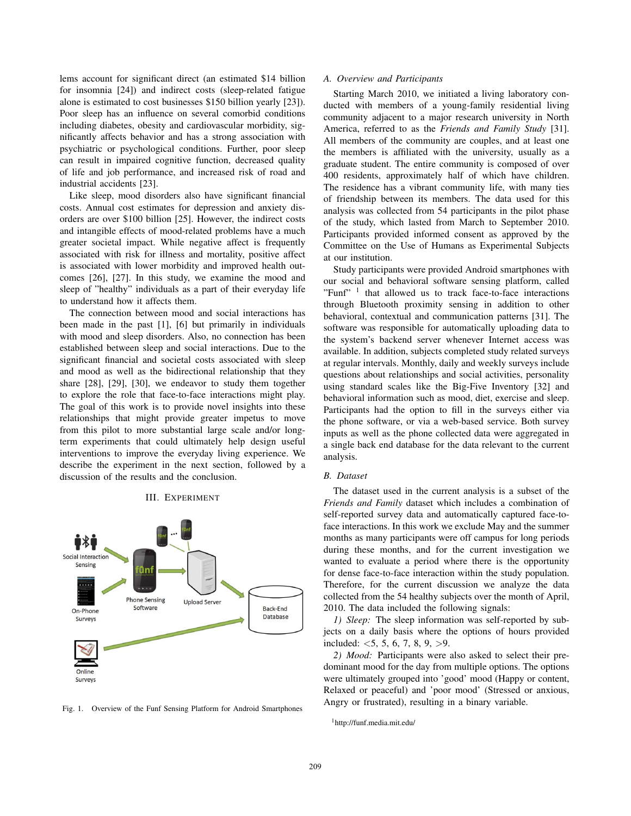lems account for significant direct (an estimated \$14 billion for insomnia [24]) and indirect costs (sleep-related fatigue alone is estimated to cost businesses \$150 billion yearly [23]). Poor sleep has an influence on several comorbid conditions including diabetes, obesity and cardiovascular morbidity, significantly affects behavior and has a strong association with psychiatric or psychological conditions. Further, poor sleep can result in impaired cognitive function, decreased quality of life and job performance, and increased risk of road and industrial accidents [23].

Like sleep, mood disorders also have significant financial costs. Annual cost estimates for depression and anxiety disorders are over \$100 billion [25]. However, the indirect costs and intangible effects of mood-related problems have a much greater societal impact. While negative affect is frequently associated with risk for illness and mortality, positive affect is associated with lower morbidity and improved health outcomes [26], [27]. In this study, we examine the mood and sleep of "healthy" individuals as a part of their everyday life to understand how it affects them.

The connection between mood and social interactions has been made in the past [1], [6] but primarily in individuals with mood and sleep disorders. Also, no connection has been established between sleep and social interactions. Due to the significant financial and societal costs associated with sleep and mood as well as the bidirectional relationship that they share [28], [29], [30], we endeavor to study them together to explore the role that face-to-face interactions might play. The goal of this work is to provide novel insights into these relationships that might provide greater impetus to move from this pilot to more substantial large scale and/or longterm experiments that could ultimately help design useful interventions to improve the everyday living experience. We describe the experiment in the next section, followed by a discussion of the results and the conclusion.

# III. EXPERIMENT



Fig. 1. Overview of the Funf Sensing Platform for Android Smartphones

## *A. Overview and Participants*

Starting March 2010, we initiated a living laboratory conducted with members of a young-family residential living community adjacent to a major research university in North America, referred to as the *Friends and Family Study* [31]. All members of the community are couples, and at least one the members is affiliated with the university, usually as a graduate student. The entire community is composed of over 400 residents, approximately half of which have children. The residence has a vibrant community life, with many ties of friendship between its members. The data used for this analysis was collected from 54 participants in the pilot phase of the study, which lasted from March to September 2010. Participants provided informed consent as approved by the Committee on the Use of Humans as Experimental Subjects at our institution.

Study participants were provided Android smartphones with our social and behavioral software sensing platform, called "Funf"<sup>1</sup> that allowed us to track face-to-face interactions through Bluetooth proximity sensing in addition to other behavioral, contextual and communication patterns [31]. The software was responsible for automatically uploading data to the system's backend server whenever Internet access was available. In addition, subjects completed study related surveys at regular intervals. Monthly, daily and weekly surveys include questions about relationships and social activities, personality using standard scales like the Big-Five Inventory [32] and behavioral information such as mood, diet, exercise and sleep. Participants had the option to fill in the surveys either via the phone software, or via a web-based service. Both survey inputs as well as the phone collected data were aggregated in a single back end database for the data relevant to the current analysis.

# *B. Dataset*

The dataset used in the current analysis is a subset of the *Friends and Family* dataset which includes a combination of self-reported survey data and automatically captured face-toface interactions. In this work we exclude May and the summer months as many participants were off campus for long periods during these months, and for the current investigation we wanted to evaluate a period where there is the opportunity for dense face-to-face interaction within the study population. Therefore, for the current discussion we analyze the data collected from the 54 healthy subjects over the month of April, 2010. The data included the following signals:

*1) Sleep:* The sleep information was self-reported by subjects on a daily basis where the options of hours provided included:  $<$  5, 5, 6, 7, 8, 9,  $>$  9.

*2) Mood:* Participants were also asked to select their predominant mood for the day from multiple options. The options were ultimately grouped into 'good' mood (Happy or content, Relaxed or peaceful) and 'poor mood' (Stressed or anxious, Angry or frustrated), resulting in a binary variable.

<sup>1</sup>http://funf.media.mit.edu/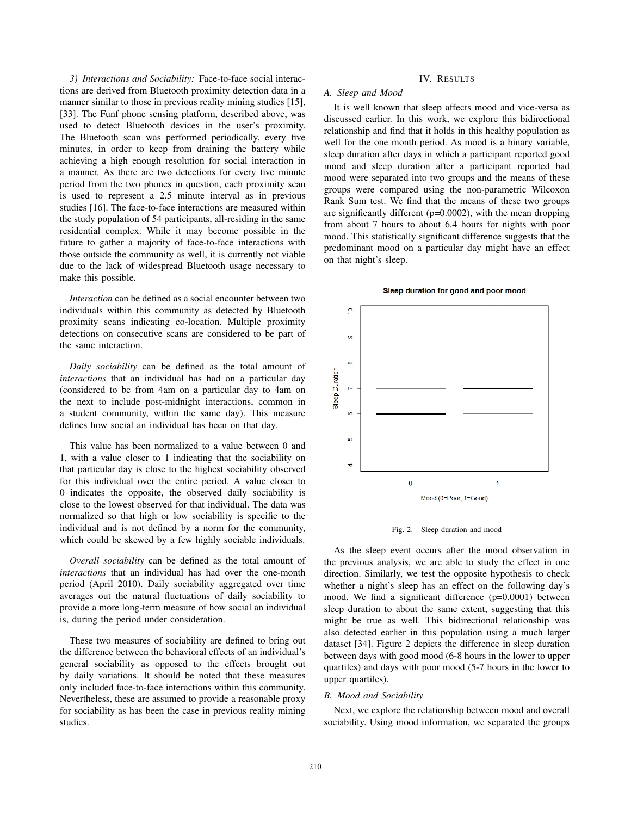*3) Interactions and Sociability:* Face-to-face social interactions are derived from Bluetooth proximity detection data in a manner similar to those in previous reality mining studies [15], [33]. The Funf phone sensing platform, described above, was used to detect Bluetooth devices in the user's proximity. The Bluetooth scan was performed periodically, every five minutes, in order to keep from draining the battery while achieving a high enough resolution for social interaction in a manner. As there are two detections for every five minute period from the two phones in question, each proximity scan is used to represent a 2.5 minute interval as in previous studies [16]. The face-to-face interactions are measured within the study population of 54 participants, all-residing in the same residential complex. While it may become possible in the future to gather a majority of face-to-face interactions with those outside the community as well, it is currently not viable due to the lack of widespread Bluetooth usage necessary to make this possible.

*Interaction* can be defined as a social encounter between two individuals within this community as detected by Bluetooth proximity scans indicating co-location. Multiple proximity detections on consecutive scans are considered to be part of the same interaction.

*Daily sociability* can be defined as the total amount of *interactions* that an individual has had on a particular day (considered to be from 4am on a particular day to 4am on the next to include post-midnight interactions, common in a student community, within the same day). This measure defines how social an individual has been on that day.

This value has been normalized to a value between 0 and 1, with a value closer to 1 indicating that the sociability on that particular day is close to the highest sociability observed for this individual over the entire period. A value closer to 0 indicates the opposite, the observed daily sociability is close to the lowest observed for that individual. The data was normalized so that high or low sociability is specific to the individual and is not defined by a norm for the community, which could be skewed by a few highly sociable individuals.

*Overall sociability* can be defined as the total amount of *interactions* that an individual has had over the one-month period (April 2010). Daily sociability aggregated over time averages out the natural fluctuations of daily sociability to provide a more long-term measure of how social an individual is, during the period under consideration.

These two measures of sociability are defined to bring out the difference between the behavioral effects of an individual's general sociability as opposed to the effects brought out by daily variations. It should be noted that these measures only included face-to-face interactions within this community. Nevertheless, these are assumed to provide a reasonable proxy for sociability as has been the case in previous reality mining studies.

## IV. RESULTS

# *A. Sleep and Mood*

It is well known that sleep affects mood and vice-versa as discussed earlier. In this work, we explore this bidirectional relationship and find that it holds in this healthy population as well for the one month period. As mood is a binary variable, sleep duration after days in which a participant reported good mood and sleep duration after a participant reported bad mood were separated into two groups and the means of these groups were compared using the non-parametric Wilcoxon Rank Sum test. We find that the means of these two groups are significantly different (p=0.0002), with the mean dropping from about 7 hours to about 6.4 hours for nights with poor mood. This statistically significant difference suggests that the predominant mood on a particular day might have an effect on that night's sleep.

#### Sleep duration for good and poor mood



Fig. 2. Sleep duration and mood

As the sleep event occurs after the mood observation in the previous analysis, we are able to study the effect in one direction. Similarly, we test the opposite hypothesis to check whether a night's sleep has an effect on the following day's mood. We find a significant difference (p=0.0001) between sleep duration to about the same extent, suggesting that this might be true as well. This bidirectional relationship was also detected earlier in this population using a much larger dataset [34]. Figure 2 depicts the difference in sleep duration between days with good mood (6-8 hours in the lower to upper quartiles) and days with poor mood (5-7 hours in the lower to upper quartiles).

## *B. Mood and Sociability*

Next, we explore the relationship between mood and overall sociability. Using mood information, we separated the groups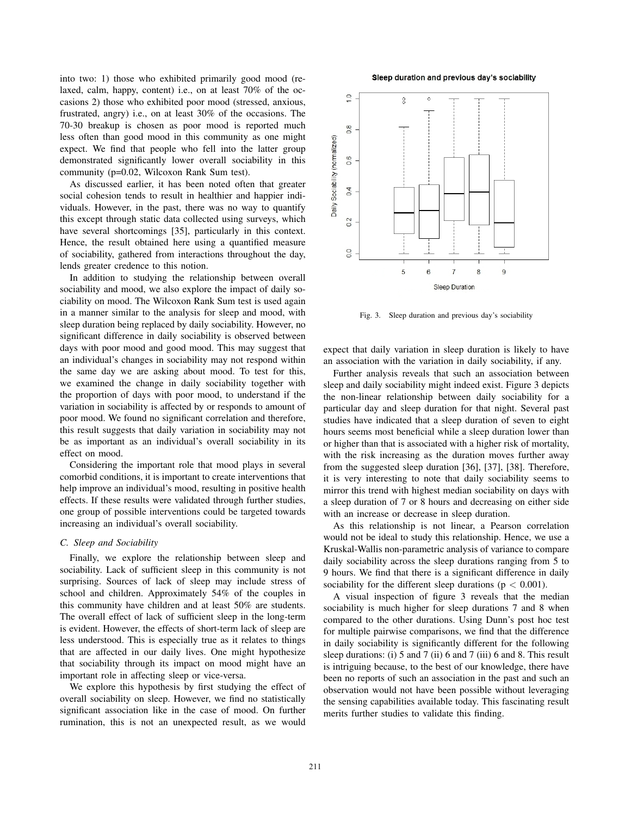into two: 1) those who exhibited primarily good mood (relaxed, calm, happy, content) i.e., on at least 70% of the occasions 2) those who exhibited poor mood (stressed, anxious, frustrated, angry) i.e., on at least 30% of the occasions. The 70-30 breakup is chosen as poor mood is reported much less often than good mood in this community as one might expect. We find that people who fell into the latter group demonstrated significantly lower overall sociability in this community (p=0.02, Wilcoxon Rank Sum test).

As discussed earlier, it has been noted often that greater social cohesion tends to result in healthier and happier individuals. However, in the past, there was no way to quantify this except through static data collected using surveys, which have several shortcomings [35], particularly in this context. Hence, the result obtained here using a quantified measure of sociability, gathered from interactions throughout the day, lends greater credence to this notion.

In addition to studying the relationship between overall sociability and mood, we also explore the impact of daily sociability on mood. The Wilcoxon Rank Sum test is used again in a manner similar to the analysis for sleep and mood, with sleep duration being replaced by daily sociability. However, no significant difference in daily sociability is observed between days with poor mood and good mood. This may suggest that an individual's changes in sociability may not respond within the same day we are asking about mood. To test for this, we examined the change in daily sociability together with the proportion of days with poor mood, to understand if the variation in sociability is affected by or responds to amount of poor mood. We found no significant correlation and therefore, this result suggests that daily variation in sociability may not be as important as an individual's overall sociability in its effect on mood.

Considering the important role that mood plays in several comorbid conditions, it is important to create interventions that help improve an individual's mood, resulting in positive health effects. If these results were validated through further studies, one group of possible interventions could be targeted towards increasing an individual's overall sociability.

## *C. Sleep and Sociability*

Finally, we explore the relationship between sleep and sociability. Lack of sufficient sleep in this community is not surprising. Sources of lack of sleep may include stress of school and children. Approximately 54% of the couples in this community have children and at least 50% are students. The overall effect of lack of sufficient sleep in the long-term is evident. However, the effects of short-term lack of sleep are less understood. This is especially true as it relates to things that are affected in our daily lives. One might hypothesize that sociability through its impact on mood might have an important role in affecting sleep or vice-versa.

We explore this hypothesis by first studying the effect of overall sociability on sleep. However, we find no statistically significant association like in the case of mood. On further rumination, this is not an unexpected result, as we would

Sleep duration and previous day's sociability



Fig. 3. Sleep duration and previous day's sociability

expect that daily variation in sleep duration is likely to have an association with the variation in daily sociability, if any.

Further analysis reveals that such an association between sleep and daily sociability might indeed exist. Figure 3 depicts the non-linear relationship between daily sociability for a particular day and sleep duration for that night. Several past studies have indicated that a sleep duration of seven to eight hours seems most beneficial while a sleep duration lower than or higher than that is associated with a higher risk of mortality, with the risk increasing as the duration moves further away from the suggested sleep duration [36], [37], [38]. Therefore, it is very interesting to note that daily sociability seems to mirror this trend with highest median sociability on days with a sleep duration of 7 or 8 hours and decreasing on either side with an increase or decrease in sleep duration.

As this relationship is not linear, a Pearson correlation would not be ideal to study this relationship. Hence, we use a Kruskal-Wallis non-parametric analysis of variance to compare daily sociability across the sleep durations ranging from 5 to 9 hours. We find that there is a significant difference in daily sociability for the different sleep durations ( $p < 0.001$ ).

A visual inspection of figure 3 reveals that the median sociability is much higher for sleep durations 7 and 8 when compared to the other durations. Using Dunn's post hoc test for multiple pairwise comparisons, we find that the difference in daily sociability is significantly different for the following sleep durations: (i) 5 and 7 (ii) 6 and 7 (iii) 6 and 8. This result is intriguing because, to the best of our knowledge, there have been no reports of such an association in the past and such an observation would not have been possible without leveraging the sensing capabilities available today. This fascinating result merits further studies to validate this finding.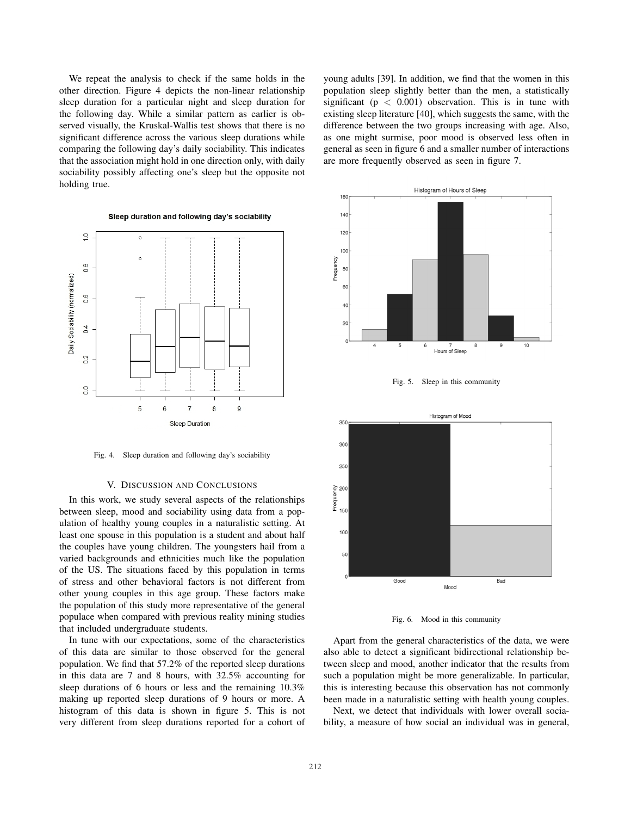We repeat the analysis to check if the same holds in the other direction. Figure 4 depicts the non-linear relationship sleep duration for a particular night and sleep duration for the following day. While a similar pattern as earlier is observed visually, the Kruskal-Wallis test shows that there is no significant difference across the various sleep durations while comparing the following day's daily sociability. This indicates that the association might hold in one direction only, with daily sociability possibly affecting one's sleep but the opposite not holding true.

#### Sleep duration and following day's sociability



Fig. 4. Sleep duration and following day's sociability

### V. DISCUSSION AND CONCLUSIONS

In this work, we study several aspects of the relationships between sleep, mood and sociability using data from a population of healthy young couples in a naturalistic setting. At least one spouse in this population is a student and about half the couples have young children. The youngsters hail from a varied backgrounds and ethnicities much like the population of the US. The situations faced by this population in terms of stress and other behavioral factors is not different from other young couples in this age group. These factors make the population of this study more representative of the general populace when compared with previous reality mining studies that included undergraduate students.

In tune with our expectations, some of the characteristics of this data are similar to those observed for the general population. We find that 57.2% of the reported sleep durations in this data are 7 and 8 hours, with 32.5% accounting for sleep durations of 6 hours or less and the remaining 10.3% making up reported sleep durations of 9 hours or more. A histogram of this data is shown in figure 5. This is not very different from sleep durations reported for a cohort of young adults [39]. In addition, we find that the women in this population sleep slightly better than the men, a statistically significant ( $p < 0.001$ ) observation. This is in tune with existing sleep literature [40], which suggests the same, with the difference between the two groups increasing with age. Also, as one might surmise, poor mood is observed less often in general as seen in figure 6 and a smaller number of interactions are more frequently observed as seen in figure 7.







Fig. 6. Mood in this community

Apart from the general characteristics of the data, we were also able to detect a significant bidirectional relationship between sleep and mood, another indicator that the results from such a population might be more generalizable. In particular, this is interesting because this observation has not commonly been made in a naturalistic setting with health young couples.

Next, we detect that individuals with lower overall sociability, a measure of how social an individual was in general,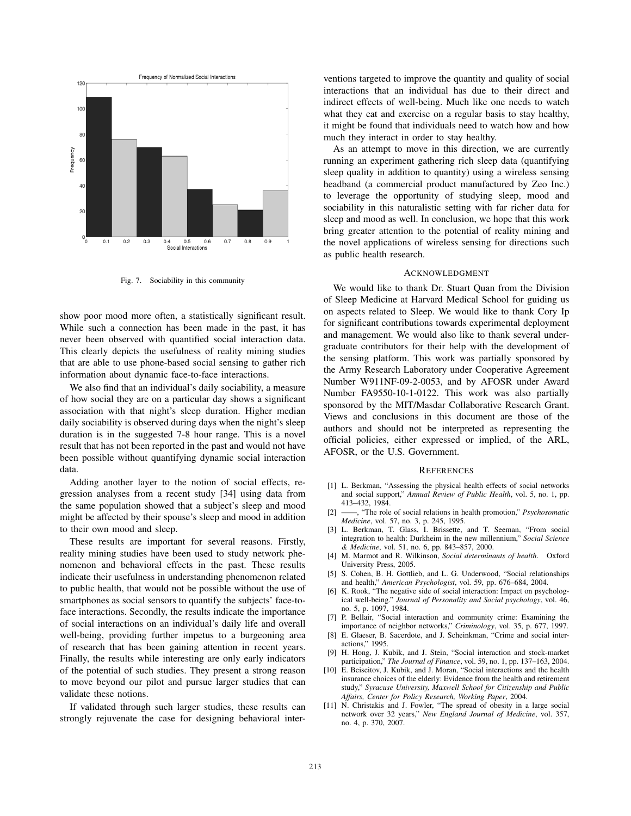

Fig. 7. Sociability in this community

show poor mood more often, a statistically significant result. While such a connection has been made in the past, it has never been observed with quantified social interaction data. This clearly depicts the usefulness of reality mining studies that are able to use phone-based social sensing to gather rich information about dynamic face-to-face interactions.

We also find that an individual's daily sociability, a measure of how social they are on a particular day shows a significant association with that night's sleep duration. Higher median daily sociability is observed during days when the night's sleep duration is in the suggested 7-8 hour range. This is a novel result that has not been reported in the past and would not have been possible without quantifying dynamic social interaction data.

Adding another layer to the notion of social effects, regression analyses from a recent study [34] using data from the same population showed that a subject's sleep and mood might be affected by their spouse's sleep and mood in addition to their own mood and sleep.

These results are important for several reasons. Firstly, reality mining studies have been used to study network phenomenon and behavioral effects in the past. These results indicate their usefulness in understanding phenomenon related to public health, that would not be possible without the use of smartphones as social sensors to quantify the subjects' face-toface interactions. Secondly, the results indicate the importance of social interactions on an individual's daily life and overall well-being, providing further impetus to a burgeoning area of research that has been gaining attention in recent years. Finally, the results while interesting are only early indicators of the potential of such studies. They present a strong reason to move beyond our pilot and pursue larger studies that can validate these notions.

If validated through such larger studies, these results can strongly rejuvenate the case for designing behavioral interventions targeted to improve the quantity and quality of social interactions that an individual has due to their direct and indirect effects of well-being. Much like one needs to watch what they eat and exercise on a regular basis to stay healthy, it might be found that individuals need to watch how and how much they interact in order to stay healthy.

As an attempt to move in this direction, we are currently running an experiment gathering rich sleep data (quantifying sleep quality in addition to quantity) using a wireless sensing headband (a commercial product manufactured by Zeo Inc.) to leverage the opportunity of studying sleep, mood and sociability in this naturalistic setting with far richer data for sleep and mood as well. In conclusion, we hope that this work bring greater attention to the potential of reality mining and the novel applications of wireless sensing for directions such as public health research.

# **ACKNOWLEDGMENT**

We would like to thank Dr. Stuart Quan from the Division of Sleep Medicine at Harvard Medical School for guiding us on aspects related to Sleep. We would like to thank Cory Ip for significant contributions towards experimental deployment and management. We would also like to thank several undergraduate contributors for their help with the development of the sensing platform. This work was partially sponsored by the Army Research Laboratory under Cooperative Agreement Number W911NF-09-2-0053, and by AFOSR under Award Number FA9550-10-1-0122. This work was also partially sponsored by the MIT/Masdar Collaborative Research Grant. Views and conclusions in this document are those of the authors and should not be interpreted as representing the official policies, either expressed or implied, of the ARL, AFOSR, or the U.S. Government.

#### **REFERENCES**

- [1] L. Berkman, "Assessing the physical health effects of social networks and social support," *Annual Review of Public Health*, vol. 5, no. 1, pp. 413–432, 1984.
- [2] ——, "The role of social relations in health promotion," *Psychosomatic Medicine*, vol. 57, no. 3, p. 245, 1995.
- [3] L. Berkman, T. Glass, I. Brissette, and T. Seeman, "From social integration to health: Durkheim in the new millennium," *Social Science & Medicine*, vol. 51, no. 6, pp. 843–857, 2000.
- [4] M. Marmot and R. Wilkinson, *Social determinants of health*. Oxford University Press, 2005.
- [5] S. Cohen, B. H. Gottlieb, and L. G. Underwood, "Social relationships and health," *American Psychologist*, vol. 59, pp. 676–684, 2004.
- [6] K. Rook, "The negative side of social interaction: Impact on psychological well-being." *Journal of Personality and Social psychology*, vol. 46, no. 5, p. 1097, 1984.
- [7] P. Bellair, "Social interaction and community crime: Examining the importance of neighbor networks," *Criminology*, vol. 35, p. 677, 1997.
- [8] E. Glaeser, B. Sacerdote, and J. Scheinkman, "Crime and social interactions," 1995.
- H. Hong, J. Kubik, and J. Stein, "Social interaction and stock-market participation," *The Journal of Finance*, vol. 59, no. 1, pp. 137–163, 2004.
- [10] E. Beiseitov, J. Kubik, and J. Moran, "Social interactions and the health insurance choices of the elderly: Evidence from the health and retirement study," *Syracuse University, Maxwell School for Citizenship and Public Affairs, Center for Policy Research, Working Paper*, 2004.
- [11] N. Christakis and J. Fowler, "The spread of obesity in a large social network over 32 years," *New England Journal of Medicine*, vol. 357, no. 4, p. 370, 2007.